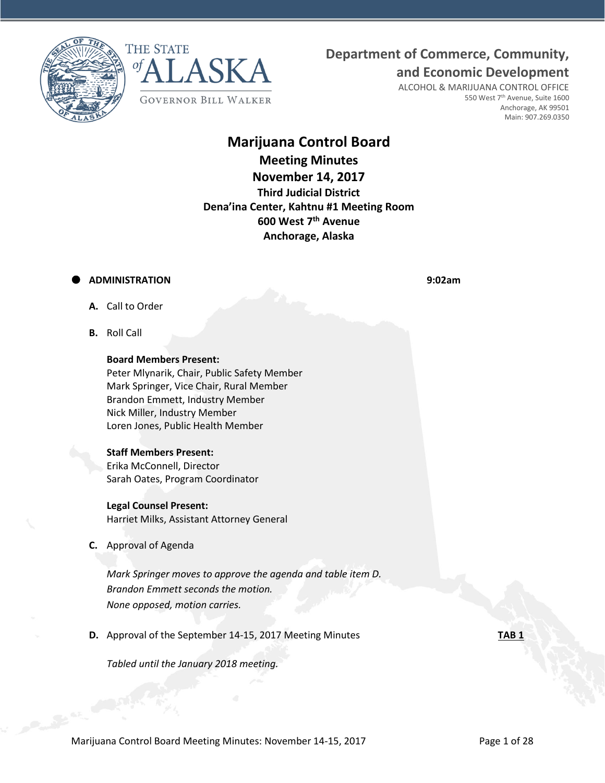



# **Department of Commerce, Community,**

**and Economic Development**

ALCOHOL & MARIJUANA CONTROL OFFICE 550 West 7<sup>th</sup> Avenue, Suite 1600 Anchorage, AK 99501 Main: 907.269.0350

# **Marijuana Control Board Meeting Minutes November 14, 2017 Third Judicial District Dena'ina Center, Kahtnu #1 Meeting Room 600 West 7 th Avenue Anchorage, Alaska**

# **ADMINISTRATION 9:02am**

- **A.** Call to Order
- **B.** Roll Call

# **Board Members Present:**

Peter Mlynarik, Chair, Public Safety Member Mark Springer, Vice Chair, Rural Member Brandon Emmett, Industry Member Nick Miller, Industry Member Loren Jones, Public Health Member

### **Staff Members Present:**

Erika McConnell, Director Sarah Oates, Program Coordinator

# **Legal Counsel Present:**

Harriet Milks, Assistant Attorney General

*Tabled until the January 2018 meeting.*

**C.** Approval of Agenda

*Mark Springer moves to approve the agenda and table item D. Brandon Emmett seconds the motion. None opposed, motion carries.*

**D.** Approval of the September 14-15, 2017 Meeting Minutes **TAB 1**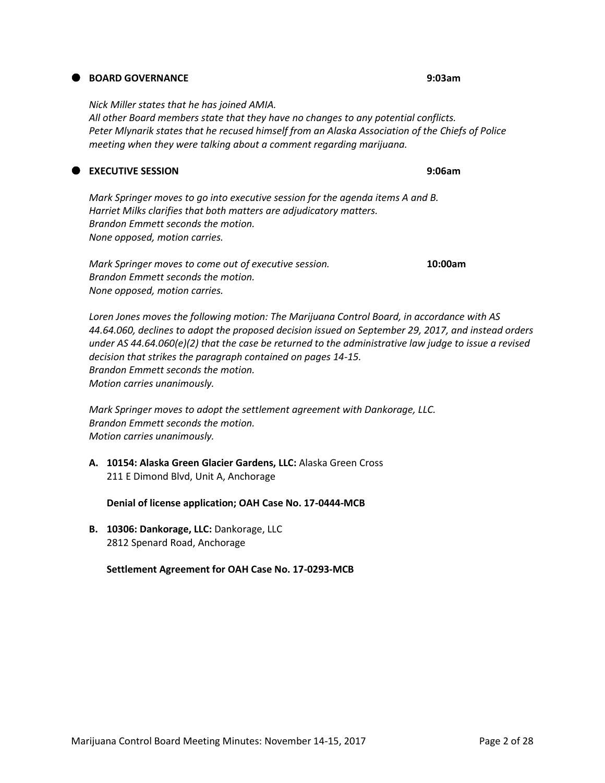# **BOARD GOVERNANCE 9:03am**

*Nick Miller states that he has joined AMIA. All other Board members state that they have no changes to any potential conflicts. Peter Mlynarik states that he recused himself from an Alaska Association of the Chiefs of Police meeting when they were talking about a comment regarding marijuana.*

# **EXECUTIVE SESSION 9:06am**

*Mark Springer moves to go into executive session for the agenda items A and B. Harriet Milks clarifies that both matters are adjudicatory matters. Brandon Emmett seconds the motion. None opposed, motion carries.*

*Mark Springer moves to come out of executive session.* **10:00am** *Brandon Emmett seconds the motion. None opposed, motion carries.*

*Loren Jones moves the following motion: The Marijuana Control Board, in accordance with AS 44.64.060, declines to adopt the proposed decision issued on September 29, 2017, and instead orders under AS 44.64.060(e)(2) that the case be returned to the administrative law judge to issue a revised decision that strikes the paragraph contained on pages 14-15. Brandon Emmett seconds the motion. Motion carries unanimously.*

*Mark Springer moves to adopt the settlement agreement with Dankorage, LLC. Brandon Emmett seconds the motion. Motion carries unanimously.*

**A. 10154: Alaska Green Glacier Gardens, LLC:** Alaska Green Cross 211 E Dimond Blvd, Unit A, Anchorage

**Denial of license application; OAH Case No. 17-0444-MCB**

**B. 10306: Dankorage, LLC:** Dankorage, LLC 2812 Spenard Road, Anchorage

**Settlement Agreement for OAH Case No. 17-0293-MCB**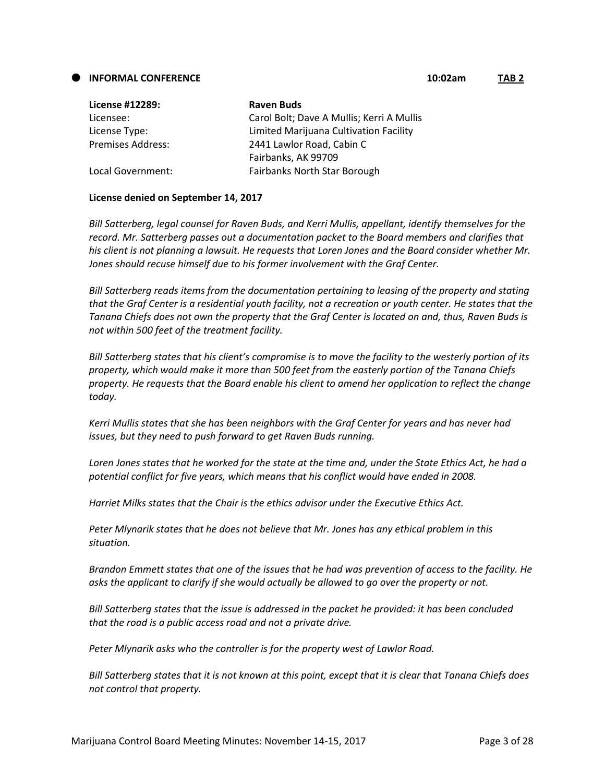#### **INFORMAL CONFERENCE 10:02am TAB 2**

| <b>License #12289:</b> | <b>Raven Buds</b>                         |
|------------------------|-------------------------------------------|
| Licensee:              | Carol Bolt; Dave A Mullis; Kerri A Mullis |
| License Type:          | Limited Marijuana Cultivation Facility    |
| Premises Address:      | 2441 Lawlor Road, Cabin C                 |
|                        | Fairbanks, AK 99709                       |
| Local Government:      | Fairbanks North Star Borough              |
|                        |                                           |

# **License denied on September 14, 2017**

*Bill Satterberg, legal counsel for Raven Buds, and Kerri Mullis, appellant, identify themselves for the record. Mr. Satterberg passes out a documentation packet to the Board members and clarifies that his client is not planning a lawsuit. He requests that Loren Jones and the Board consider whether Mr. Jones should recuse himself due to his former involvement with the Graf Center.*

*Bill Satterberg reads items from the documentation pertaining to leasing of the property and stating that the Graf Center is a residential youth facility, not a recreation or youth center. He states that the Tanana Chiefs does not own the property that the Graf Center is located on and, thus, Raven Buds is not within 500 feet of the treatment facility.* 

*Bill Satterberg states that his client's compromise is to move the facility to the westerly portion of its property, which would make it more than 500 feet from the easterly portion of the Tanana Chiefs property. He requests that the Board enable his client to amend her application to reflect the change today.*

*Kerri Mullis states that she has been neighbors with the Graf Center for years and has never had issues, but they need to push forward to get Raven Buds running.*

*Loren Jones states that he worked for the state at the time and, under the State Ethics Act, he had a potential conflict for five years, which means that his conflict would have ended in 2008.*

*Harriet Milks states that the Chair is the ethics advisor under the Executive Ethics Act.*

*Peter Mlynarik states that he does not believe that Mr. Jones has any ethical problem in this situation.*

*Brandon Emmett states that one of the issues that he had was prevention of access to the facility. He asks the applicant to clarify if she would actually be allowed to go over the property or not.*

*Bill Satterberg states that the issue is addressed in the packet he provided: it has been concluded that the road is a public access road and not a private drive.*

*Peter Mlynarik asks who the controller is for the property west of Lawlor Road.*

*Bill Satterberg states that it is not known at this point, except that it is clear that Tanana Chiefs does not control that property.*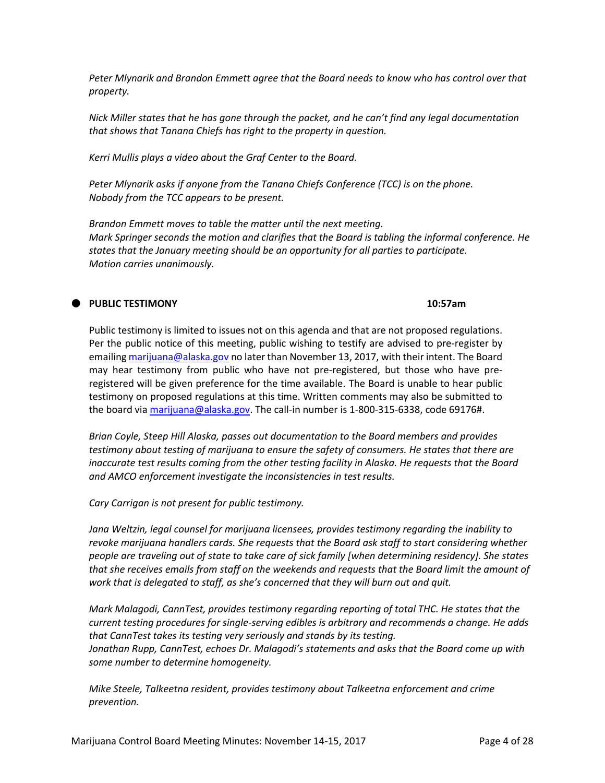*Peter Mlynarik and Brandon Emmett agree that the Board needs to know who has control over that property.*

*Nick Miller states that he has gone through the packet, and he can't find any legal documentation that shows that Tanana Chiefs has right to the property in question.*

*Kerri Mullis plays a video about the Graf Center to the Board.*

*Peter Mlynarik asks if anyone from the Tanana Chiefs Conference (TCC) is on the phone. Nobody from the TCC appears to be present.*

*Brandon Emmett moves to table the matter until the next meeting. Mark Springer seconds the motion and clarifies that the Board is tabling the informal conference. He states that the January meeting should be an opportunity for all parties to participate. Motion carries unanimously.*

# **PUBLIC TESTIMONY 10:57am**

Public testimony is limited to issues not on this agenda and that are not proposed regulations. Per the public notice of this meeting, public wishing to testify are advised to pre-register by emailin[g marijuana@alaska.gov](mailto:marijuana@alaska.gov) no later than November 13, 2017, with their intent. The Board may hear testimony from public who have not pre-registered, but those who have preregistered will be given preference for the time available. The Board is unable to hear public testimony on proposed regulations at this time. Written comments may also be submitted to the board vi[a marijuana@alaska.gov.](mailto:marijuana@alaska.gov) The call-in number is 1-800-315-6338, code 69176#.

*Brian Coyle, Steep Hill Alaska, passes out documentation to the Board members and provides testimony about testing of marijuana to ensure the safety of consumers. He states that there are inaccurate test results coming from the other testing facility in Alaska. He requests that the Board and AMCO enforcement investigate the inconsistencies in test results.*

# *Cary Carrigan is not present for public testimony.*

*Jana Weltzin, legal counsel for marijuana licensees, provides testimony regarding the inability to revoke marijuana handlers cards. She requests that the Board ask staff to start considering whether people are traveling out of state to take care of sick family [when determining residency]. She states that she receives emails from staff on the weekends and requests that the Board limit the amount of work that is delegated to staff, as she's concerned that they will burn out and quit.*

*Mark Malagodi, CannTest, provides testimony regarding reporting of total THC. He states that the current testing procedures for single-serving edibles is arbitrary and recommends a change. He adds that CannTest takes its testing very seriously and stands by its testing. Jonathan Rupp, CannTest, echoes Dr. Malagodi's statements and asks that the Board come up with some number to determine homogeneity.* 

*Mike Steele, Talkeetna resident, provides testimony about Talkeetna enforcement and crime prevention.*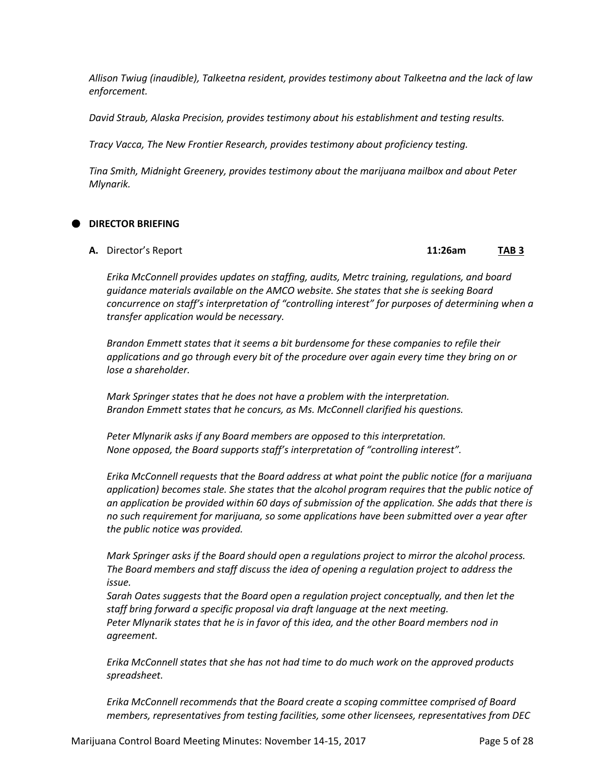*Allison Twiug (inaudible), Talkeetna resident, provides testimony about Talkeetna and the lack of law enforcement.*

*David Straub, Alaska Precision, provides testimony about his establishment and testing results.*

*Tracy Vacca, The New Frontier Research, provides testimony about proficiency testing.*

*Tina Smith, Midnight Greenery, provides testimony about the marijuana mailbox and about Peter Mlynarik.*

# **DIRECTOR BRIEFING**

**A.** Director's Report **11:26am TAB 3**

*Erika McConnell provides updates on staffing, audits, Metrc training, regulations, and board guidance materials available on the AMCO website. She states that she is seeking Board concurrence on staff's interpretation of "controlling interest" for purposes of determining when a transfer application would be necessary.*

*Brandon Emmett states that it seems a bit burdensome for these companies to refile their applications and go through every bit of the procedure over again every time they bring on or lose a shareholder.* 

*Mark Springer states that he does not have a problem with the interpretation. Brandon Emmett states that he concurs, as Ms. McConnell clarified his questions.*

*Peter Mlynarik asks if any Board members are opposed to this interpretation. None opposed, the Board supports staff's interpretation of "controlling interest".*

*Erika McConnell requests that the Board address at what point the public notice (for a marijuana application) becomes stale. She states that the alcohol program requires that the public notice of an application be provided within 60 days of submission of the application. She adds that there is no such requirement for marijuana, so some applications have been submitted over a year after the public notice was provided.*

*Mark Springer asks if the Board should open a regulations project to mirror the alcohol process. The Board members and staff discuss the idea of opening a regulation project to address the issue.*

*Sarah Oates suggests that the Board open a regulation project conceptually, and then let the staff bring forward a specific proposal via draft language at the next meeting. Peter Mlynarik states that he is in favor of this idea, and the other Board members nod in agreement.*

*Erika McConnell states that she has not had time to do much work on the approved products spreadsheet.*

*Erika McConnell recommends that the Board create a scoping committee comprised of Board members, representatives from testing facilities, some other licensees, representatives from DEC*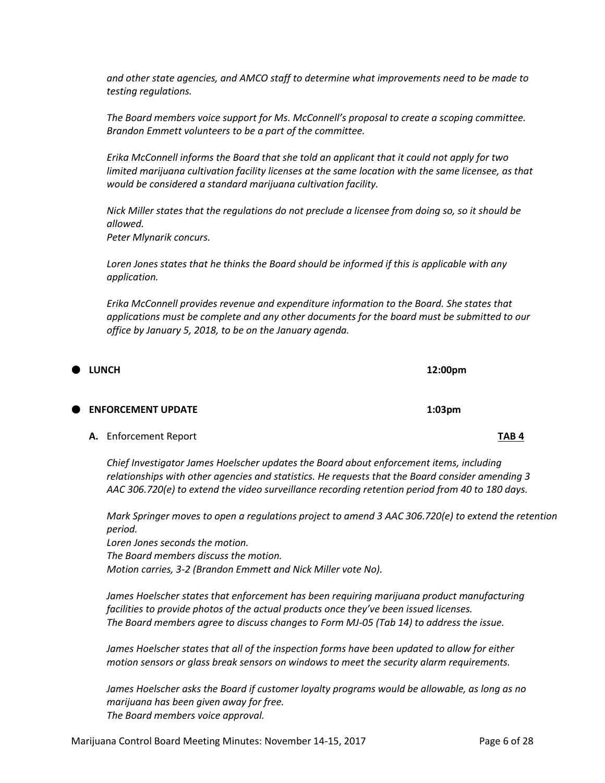*and other state agencies, and AMCO staff to determine what improvements need to be made to testing regulations.*

*The Board members voice support for Ms. McConnell's proposal to create a scoping committee. Brandon Emmett volunteers to be a part of the committee.*

*Erika McConnell informs the Board that she told an applicant that it could not apply for two limited marijuana cultivation facility licenses at the same location with the same licensee, as that would be considered a standard marijuana cultivation facility.* 

*Nick Miller states that the regulations do not preclude a licensee from doing so, so it should be allowed.*

*Peter Mlynarik concurs.* 

*Loren Jones states that he thinks the Board should be informed if this is applicable with any application.*

*Erika McConnell provides revenue and expenditure information to the Board. She states that applications must be complete and any other documents for the board must be submitted to our office by January 5, 2018, to be on the January agenda.*

| <b>UNCH</b>                  | 12:00pm          |                  |
|------------------------------|------------------|------------------|
| <b>ENFORCEMENT UPDATE</b>    | $1:03 \text{pm}$ |                  |
| <b>A.</b> Enforcement Report |                  | TAB <sub>4</sub> |

*Chief Investigator James Hoelscher updates the Board about enforcement items, including relationships with other agencies and statistics. He requests that the Board consider amending 3 AAC 306.720(e) to extend the video surveillance recording retention period from 40 to 180 days.*

*Mark Springer moves to open a regulations project to amend 3 AAC 306.720(e) to extend the retention period.*

*Loren Jones seconds the motion. The Board members discuss the motion. Motion carries, 3-2 (Brandon Emmett and Nick Miller vote No).*

*James Hoelscher states that enforcement has been requiring marijuana product manufacturing facilities to provide photos of the actual products once they've been issued licenses. The Board members agree to discuss changes to Form MJ-05 (Tab 14) to address the issue.*

*James Hoelscher states that all of the inspection forms have been updated to allow for either motion sensors or glass break sensors on windows to meet the security alarm requirements.*

*James Hoelscher asks the Board if customer loyalty programs would be allowable, as long as no marijuana has been given away for free. The Board members voice approval.*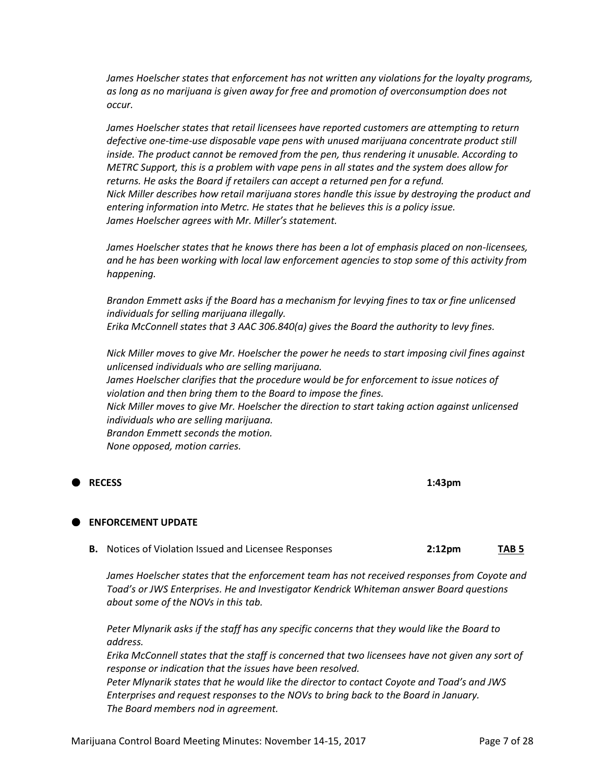*James Hoelscher states that enforcement has not written any violations for the loyalty programs, as long as no marijuana is given away for free and promotion of overconsumption does not occur.*

*James Hoelscher states that retail licensees have reported customers are attempting to return defective one-time-use disposable vape pens with unused marijuana concentrate product still inside. The product cannot be removed from the pen, thus rendering it unusable. According to METRC Support, this is a problem with vape pens in all states and the system does allow for returns. He asks the Board if retailers can accept a returned pen for a refund. Nick Miller describes how retail marijuana stores handle this issue by destroying the product and entering information into Metrc. He states that he believes this is a policy issue. James Hoelscher agrees with Mr. Miller's statement.*

*James Hoelscher states that he knows there has been a lot of emphasis placed on non-licensees, and he has been working with local law enforcement agencies to stop some of this activity from happening.*

*Brandon Emmett asks if the Board has a mechanism for levying fines to tax or fine unlicensed individuals for selling marijuana illegally. Erika McConnell states that 3 AAC 306.840(a) gives the Board the authority to levy fines.*

*Nick Miller moves to give Mr. Hoelscher the power he needs to start imposing civil fines against unlicensed individuals who are selling marijuana. James Hoelscher clarifies that the procedure would be for enforcement to issue notices of violation and then bring them to the Board to impose the fines. Nick Miller moves to give Mr. Hoelscher the direction to start taking action against unlicensed individuals who are selling marijuana. Brandon Emmett seconds the motion. None opposed, motion carries.*

**RECESS 1:43pm**

#### **ENFORCEMENT UPDATE**

**B.** Notices of Violation Issued and Licensee Responses **2:12pm TAB 5**

James Hoelscher states that the enforcement team has not received responses from Coyote and *Toad's or JWS Enterprises. He and Investigator Kendrick Whiteman answer Board questions about some of the NOVs in this tab.*

*Peter Mlynarik asks if the staff has any specific concerns that they would like the Board to address.*

*Erika McConnell states that the staff is concerned that two licensees have not given any sort of response or indication that the issues have been resolved.*

*Peter Mlynarik states that he would like the director to contact Coyote and Toad's and JWS Enterprises and request responses to the NOVs to bring back to the Board in January. The Board members nod in agreement.*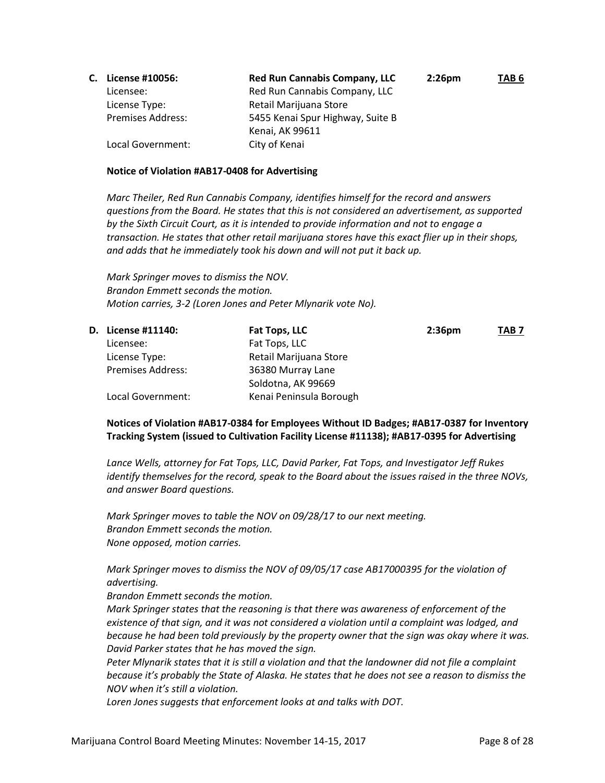| C. | License #10056:          | <b>Red Run Cannabis Company, LLC</b> | $2:26$ pm | TAB <sub>6</sub> |
|----|--------------------------|--------------------------------------|-----------|------------------|
|    | Licensee:                | Red Run Cannabis Company, LLC        |           |                  |
|    | License Type:            | Retail Marijuana Store               |           |                  |
|    | <b>Premises Address:</b> | 5455 Kenai Spur Highway, Suite B     |           |                  |
|    |                          | Kenai, AK 99611                      |           |                  |
|    | Local Government:        | City of Kenai                        |           |                  |

# **Notice of Violation #AB17-0408 for Advertising**

*Marc Theiler, Red Run Cannabis Company, identifies himself for the record and answers questions from the Board. He states that this is not considered an advertisement, as supported by the Sixth Circuit Court, as it is intended to provide information and not to engage a transaction. He states that other retail marijuana stores have this exact flier up in their shops, and adds that he immediately took his down and will not put it back up.*

*Mark Springer moves to dismiss the NOV. Brandon Emmett seconds the motion. Motion carries, 3-2 (Loren Jones and Peter Mlynarik vote No).*

|                          | Fat Tops, LLC             | 2:36 <sub>pm</sub> | TAB <sub>7</sub> |
|--------------------------|---------------------------|--------------------|------------------|
| Licensee:                | Fat Tops, LLC             |                    |                  |
| License Type:            | Retail Marijuana Store    |                    |                  |
| <b>Premises Address:</b> | 36380 Murray Lane         |                    |                  |
|                          | Soldotna, AK 99669        |                    |                  |
| Local Government:        | Kenai Peninsula Borough   |                    |                  |
|                          | <b>D.</b> License #11140: |                    |                  |

**Notices of Violation #AB17-0384 for Employees Without ID Badges; #AB17-0387 for Inventory Tracking System (issued to Cultivation Facility License #11138); #AB17-0395 for Advertising**

*Lance Wells, attorney for Fat Tops, LLC, David Parker, Fat Tops, and Investigator Jeff Rukes identify themselves for the record, speak to the Board about the issues raised in the three NOVs, and answer Board questions.*

*Mark Springer moves to table the NOV on 09/28/17 to our next meeting. Brandon Emmett seconds the motion. None opposed, motion carries.*

*Mark Springer moves to dismiss the NOV of 09/05/17 case AB17000395 for the violation of advertising.*

*Brandon Emmett seconds the motion.*

*Mark Springer states that the reasoning is that there was awareness of enforcement of the existence of that sign, and it was not considered a violation until a complaint was lodged, and because he had been told previously by the property owner that the sign was okay where it was. David Parker states that he has moved the sign.*

*Peter Mlynarik states that it is still a violation and that the landowner did not file a complaint because it's probably the State of Alaska. He states that he does not see a reason to dismiss the NOV when it's still a violation.*

*Loren Jones suggests that enforcement looks at and talks with DOT.*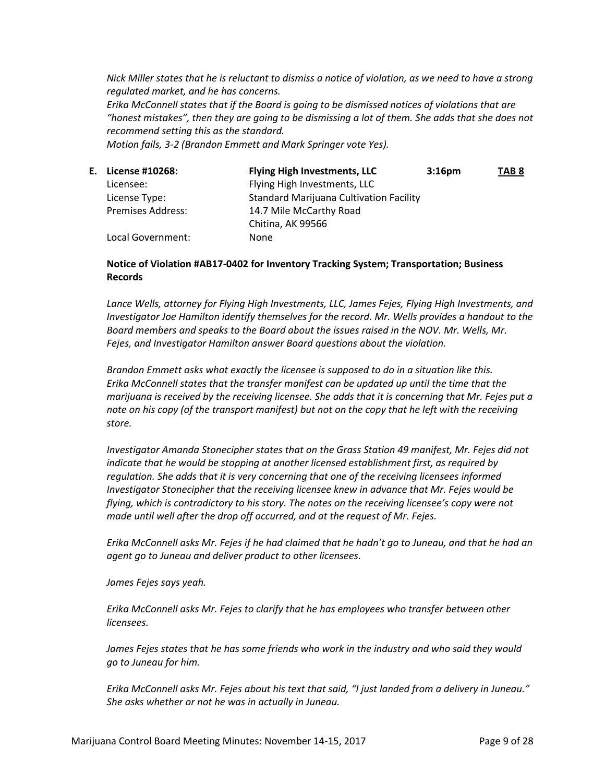*Nick Miller states that he is reluctant to dismiss a notice of violation, as we need to have a strong regulated market, and he has concerns.*

*Erika McConnell states that if the Board is going to be dismissed notices of violations that are "honest mistakes", then they are going to be dismissing a lot of them. She adds that she does not recommend setting this as the standard.*

*Motion fails, 3-2 (Brandon Emmett and Mark Springer vote Yes).*

| E. License #10268:       | <b>Flying High Investments, LLC</b>            | 3:16 <sub>pm</sub> | TAB <sub>8</sub> |
|--------------------------|------------------------------------------------|--------------------|------------------|
| Licensee:                | Flying High Investments, LLC                   |                    |                  |
| License Type:            | <b>Standard Marijuana Cultivation Facility</b> |                    |                  |
| <b>Premises Address:</b> | 14.7 Mile McCarthy Road                        |                    |                  |
|                          | Chitina, AK 99566                              |                    |                  |
| Local Government:        | None                                           |                    |                  |

# **Notice of Violation #AB17-0402 for Inventory Tracking System; Transportation; Business Records**

Lance Wells, attorney for Flying High Investments, LLC, James Fejes, Flying High Investments, and *Investigator Joe Hamilton identify themselves for the record. Mr. Wells provides a handout to the Board members and speaks to the Board about the issues raised in the NOV. Mr. Wells, Mr. Fejes, and Investigator Hamilton answer Board questions about the violation.*

*Brandon Emmett asks what exactly the licensee is supposed to do in a situation like this. Erika McConnell states that the transfer manifest can be updated up until the time that the marijuana is received by the receiving licensee. She adds that it is concerning that Mr. Fejes put a note on his copy (of the transport manifest) but not on the copy that he left with the receiving store.*

*Investigator Amanda Stonecipher states that on the Grass Station 49 manifest, Mr. Fejes did not indicate that he would be stopping at another licensed establishment first, as required by regulation. She adds that it is very concerning that one of the receiving licensees informed Investigator Stonecipher that the receiving licensee knew in advance that Mr. Fejes would be flying, which is contradictory to his story. The notes on the receiving licensee's copy were not made until well after the drop off occurred, and at the request of Mr. Fejes.*

*Erika McConnell asks Mr. Fejes if he had claimed that he hadn't go to Juneau, and that he had an agent go to Juneau and deliver product to other licensees.*

*James Fejes says yeah.*

*Erika McConnell asks Mr. Fejes to clarify that he has employees who transfer between other licensees.*

*James Fejes states that he has some friends who work in the industry and who said they would go to Juneau for him.*

*Erika McConnell asks Mr. Fejes about his text that said, "I just landed from a delivery in Juneau." She asks whether or not he was in actually in Juneau.*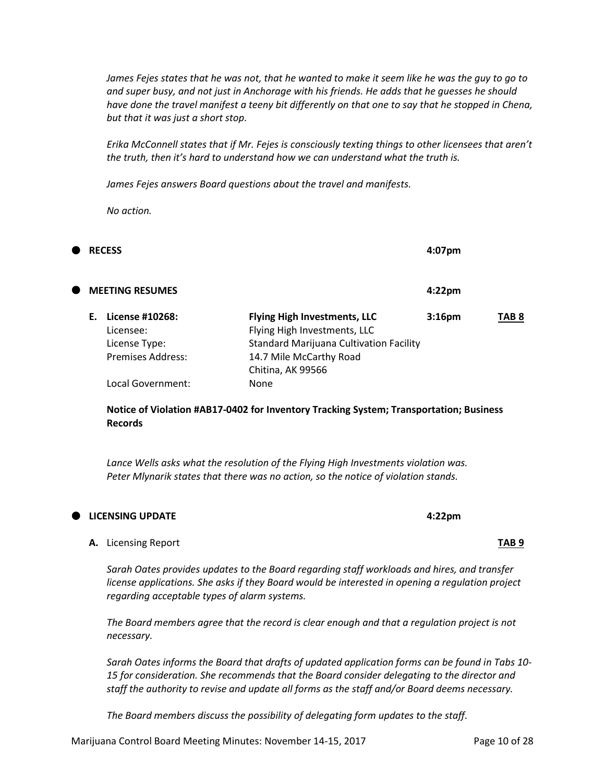*James Fejes states that he was not, that he wanted to make it seem like he was the guy to go to and super busy, and not just in Anchorage with his friends. He adds that he guesses he should have done the travel manifest a teeny bit differently on that one to say that he stopped in Chena, but that it was just a short stop.*

*Erika McConnell states that if Mr. Fejes is consciously texting things to other licensees that aren't the truth, then it's hard to understand how we can understand what the truth is.*

*James Fejes answers Board questions about the travel and manifests.*

*No action.*

| Œ |    | <b>RECESS</b>                                                      |                                                                                                                                                  | 4:07pm             |       |
|---|----|--------------------------------------------------------------------|--------------------------------------------------------------------------------------------------------------------------------------------------|--------------------|-------|
| Œ |    | <b>MEETING RESUMES</b>                                             |                                                                                                                                                  | 4:22 <sub>pm</sub> |       |
|   | F. | License #10268:<br>Licensee:<br>License Type:<br>Premises Address: | <b>Flying High Investments, LLC</b><br>Flying High Investments, LLC<br><b>Standard Marijuana Cultivation Facility</b><br>14.7 Mile McCarthy Road | 3:16 <sub>pm</sub> | TAB 8 |
|   |    | Local Government:                                                  | Chitina, AK 99566<br>None                                                                                                                        |                    |       |

**Notice of Violation #AB17-0402 for Inventory Tracking System; Transportation; Business Records**

*Lance Wells asks what the resolution of the Flying High Investments violation was. Peter Mlynarik states that there was no action, so the notice of violation stands.*

# **LICENSING UPDATE 4:22pm**

#### **A.** Licensing Report **TAB 9**

*Sarah Oates provides updates to the Board regarding staff workloads and hires, and transfer license applications. She asks if they Board would be interested in opening a regulation project regarding acceptable types of alarm systems.*

*The Board members agree that the record is clear enough and that a regulation project is not necessary.*

*Sarah Oates informs the Board that drafts of updated application forms can be found in Tabs 10- 15 for consideration. She recommends that the Board consider delegating to the director and staff the authority to revise and update all forms as the staff and/or Board deems necessary.*

*The Board members discuss the possibility of delegating form updates to the staff.*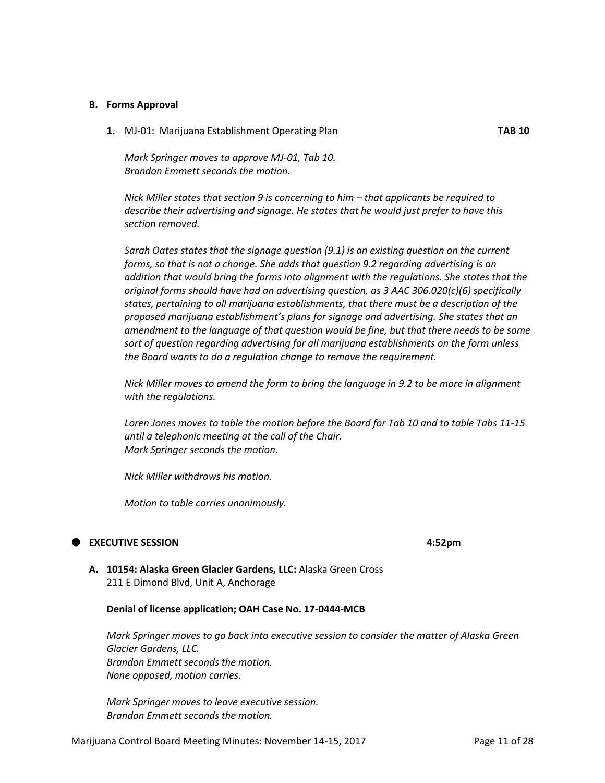#### **B. Forms Approval**

**1.** MJ-01: Marijuana Establishment Operating Plan **TAB 10**

*Mark Springer moves to approve MJ-01, Tab 10. Brandon Emmett seconds the motion.*

*Nick Miller states that section 9 is concerning to him – that applicants be required to describe their advertising and signage. He states that he would just prefer to have this section removed.*

*Sarah Oates states that the signage question (9.1) is an existing question on the current forms, so that is not a change. She adds that question 9.2 regarding advertising is an addition that would bring the forms into alignment with the regulations. She states that the original forms should have had an advertising question, as 3 AAC 306.020(c)(6) specifically states, pertaining to all marijuana establishments, that there must be a description of the proposed marijuana establishment's plans for signage and advertising. She states that an amendment to the language of that question would be fine, but that there needs to be some sort of question regarding advertising for all marijuana establishments on the form unless the Board wants to do a regulation change to remove the requirement.*

*Nick Miller moves to amend the form to bring the language in 9.2 to be more in alignment with the regulations.*

*Loren Jones moves to table the motion before the Board for Tab 10 and to table Tabs 11-15 until a telephonic meeting at the call of the Chair. Mark Springer seconds the motion.*

*Nick Miller withdraws his motion.*

*Motion to table carries unanimously.*

#### **EXECUTIVE SESSION 4:52pm**

**A. 10154: Alaska Green Glacier Gardens, LLC:** Alaska Green Cross 211 E Dimond Blvd, Unit A, Anchorage

### **Denial of license application; OAH Case No. 17-0444-MCB**

*Mark Springer moves to go back into executive session to consider the matter of Alaska Green Glacier Gardens, LLC. Brandon Emmett seconds the motion. None opposed, motion carries.*

*Mark Springer moves to leave executive session. Brandon Emmett seconds the motion.*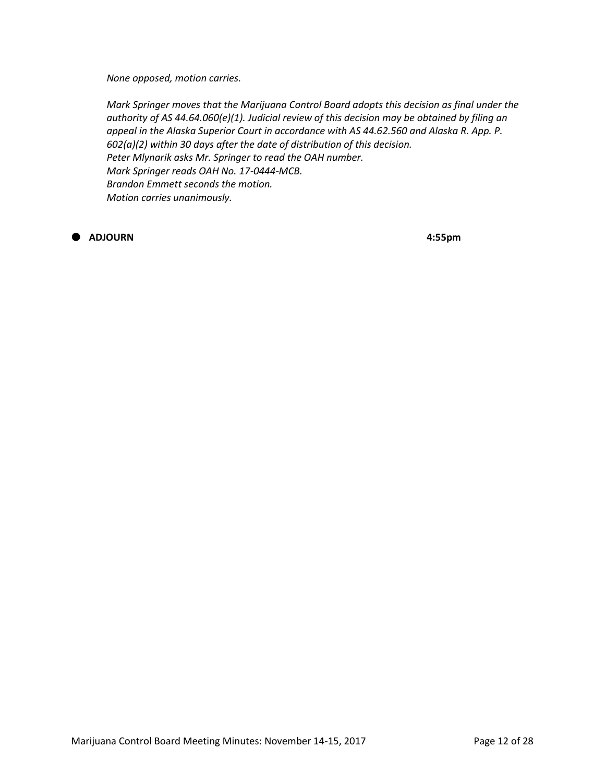*None opposed, motion carries.*

*Mark Springer moves that the Marijuana Control Board adopts this decision as final under the authority of AS 44.64.060(e)(1). Judicial review of this decision may be obtained by filing an appeal in the Alaska Superior Court in accordance with AS 44.62.560 and Alaska R. App. P. 602(a)(2) within 30 days after the date of distribution of this decision. Peter Mlynarik asks Mr. Springer to read the OAH number. Mark Springer reads OAH No. 17-0444-MCB. Brandon Emmett seconds the motion. Motion carries unanimously.*

**ADJOURN 4:55pm**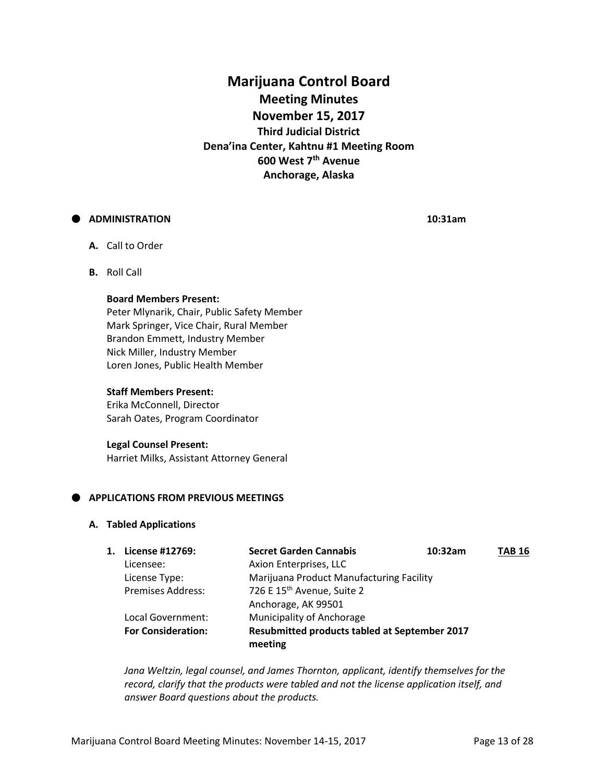**Marijuana Control Board Meeting Minutes November 15, 2017 Third Judicial District Dena'ina Center, Kahtnu #1 Meeting Room 600 West 7th Avenue Anchorage, Alaska**

# **ADMINISTRATION 10:31am**

- **A.** Call to Order
- **B.** Roll Call

#### **Board Members Present:**

Peter Mlynarik, Chair, Public Safety Member Mark Springer, Vice Chair, Rural Member Brandon Emmett, Industry Member Nick Miller, Industry Member Loren Jones, Public Health Member

#### **Staff Members Present:**

Erika McConnell, Director Sarah Oates, Program Coordinator

#### **Legal Counsel Present:**

Harriet Milks, Assistant Attorney General

# **APPLICATIONS FROM PREVIOUS MEETINGS**

#### **A. Tabled Applications**

| License #12769:           | <b>Secret Garden Cannabis</b>          | 10:32am | TAB 16                                                                                           |
|---------------------------|----------------------------------------|---------|--------------------------------------------------------------------------------------------------|
| Licensee:                 | Axion Enterprises, LLC                 |         |                                                                                                  |
| License Type:             |                                        |         |                                                                                                  |
| <b>Premises Address:</b>  | 726 E 15 <sup>th</sup> Avenue, Suite 2 |         |                                                                                                  |
|                           | Anchorage, AK 99501                    |         |                                                                                                  |
| Local Government:         | Municipality of Anchorage              |         |                                                                                                  |
| <b>For Consideration:</b> |                                        |         |                                                                                                  |
|                           | 1.                                     | meeting | Marijuana Product Manufacturing Facility<br><b>Resubmitted products tabled at September 2017</b> |

*Jana Weltzin, legal counsel, and James Thornton, applicant, identify themselves for the record, clarify that the products were tabled and not the license application itself, and answer Board questions about the products.*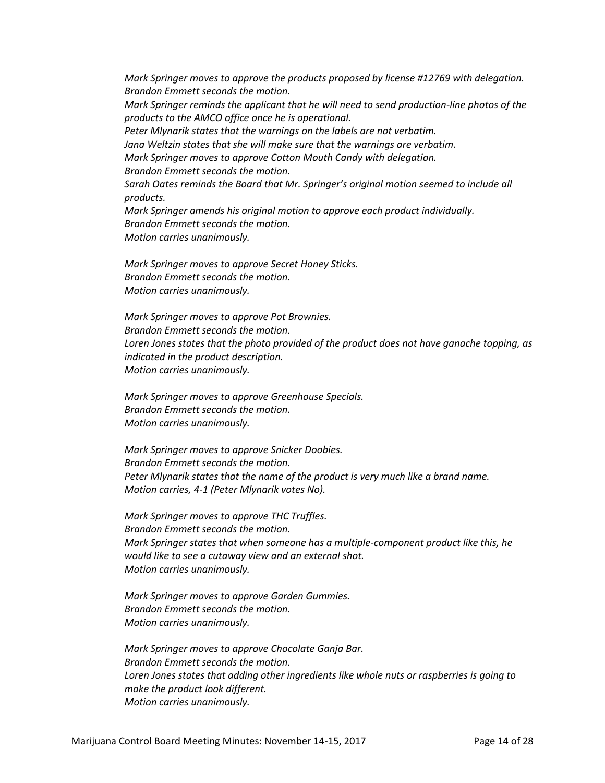*Mark Springer moves to approve the products proposed by license #12769 with delegation. Brandon Emmett seconds the motion. Mark Springer reminds the applicant that he will need to send production-line photos of the products to the AMCO office once he is operational. Peter Mlynarik states that the warnings on the labels are not verbatim. Jana Weltzin states that she will make sure that the warnings are verbatim. Mark Springer moves to approve Cotton Mouth Candy with delegation. Brandon Emmett seconds the motion. Sarah Oates reminds the Board that Mr. Springer's original motion seemed to include all products. Mark Springer amends his original motion to approve each product individually. Brandon Emmett seconds the motion. Motion carries unanimously.*

*Mark Springer moves to approve Secret Honey Sticks. Brandon Emmett seconds the motion. Motion carries unanimously.*

*Mark Springer moves to approve Pot Brownies. Brandon Emmett seconds the motion. Loren Jones states that the photo provided of the product does not have ganache topping, as indicated in the product description. Motion carries unanimously.*

*Mark Springer moves to approve Greenhouse Specials. Brandon Emmett seconds the motion. Motion carries unanimously.*

*Mark Springer moves to approve Snicker Doobies. Brandon Emmett seconds the motion. Peter Mlynarik states that the name of the product is very much like a brand name. Motion carries, 4-1 (Peter Mlynarik votes No).*

*Mark Springer moves to approve THC Truffles. Brandon Emmett seconds the motion. Mark Springer states that when someone has a multiple-component product like this, he would like to see a cutaway view and an external shot. Motion carries unanimously.*

*Mark Springer moves to approve Garden Gummies. Brandon Emmett seconds the motion. Motion carries unanimously.*

*Mark Springer moves to approve Chocolate Ganja Bar. Brandon Emmett seconds the motion. Loren Jones states that adding other ingredients like whole nuts or raspberries is going to make the product look different. Motion carries unanimously.*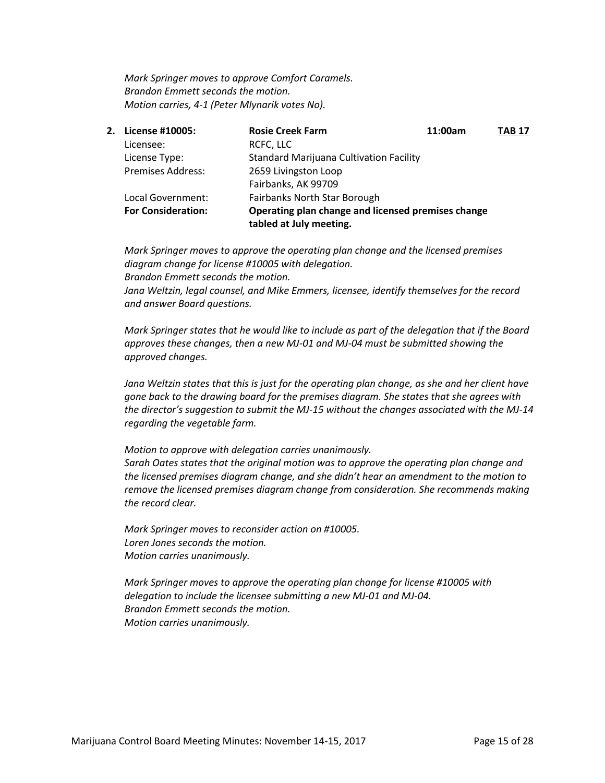*Mark Springer moves to approve Comfort Caramels. Brandon Emmett seconds the motion. Motion carries, 4-1 (Peter Mlynarik votes No).*

| 2. License #10005:        | <b>Rosie Creek Farm</b>                                                       | 11:00am | <b>TAB 17</b> |
|---------------------------|-------------------------------------------------------------------------------|---------|---------------|
| Licensee:                 | RCFC, LLC                                                                     |         |               |
| License Type:             | <b>Standard Marijuana Cultivation Facility</b>                                |         |               |
| <b>Premises Address:</b>  | 2659 Livingston Loop                                                          |         |               |
|                           | Fairbanks, AK 99709                                                           |         |               |
| Local Government:         | Fairbanks North Star Borough                                                  |         |               |
| <b>For Consideration:</b> | Operating plan change and licensed premises change<br>tabled at July meeting. |         |               |

*Mark Springer moves to approve the operating plan change and the licensed premises diagram change for license #10005 with delegation. Brandon Emmett seconds the motion. Jana Weltzin, legal counsel, and Mike Emmers, licensee, identify themselves for the record and answer Board questions.*

*Mark Springer states that he would like to include as part of the delegation that if the Board approves these changes, then a new MJ-01 and MJ-04 must be submitted showing the approved changes.*

*Jana Weltzin states that this is just for the operating plan change, as she and her client have gone back to the drawing board for the premises diagram. She states that she agrees with the director's suggestion to submit the MJ-15 without the changes associated with the MJ-14 regarding the vegetable farm.*

*Motion to approve with delegation carries unanimously. Sarah Oates states that the original motion was to approve the operating plan change and the licensed premises diagram change, and she didn't hear an amendment to the motion to remove the licensed premises diagram change from consideration. She recommends making the record clear.*

*Mark Springer moves to reconsider action on #10005. Loren Jones seconds the motion. Motion carries unanimously.*

*Mark Springer moves to approve the operating plan change for license #10005 with delegation to include the licensee submitting a new MJ-01 and MJ-04. Brandon Emmett seconds the motion. Motion carries unanimously.*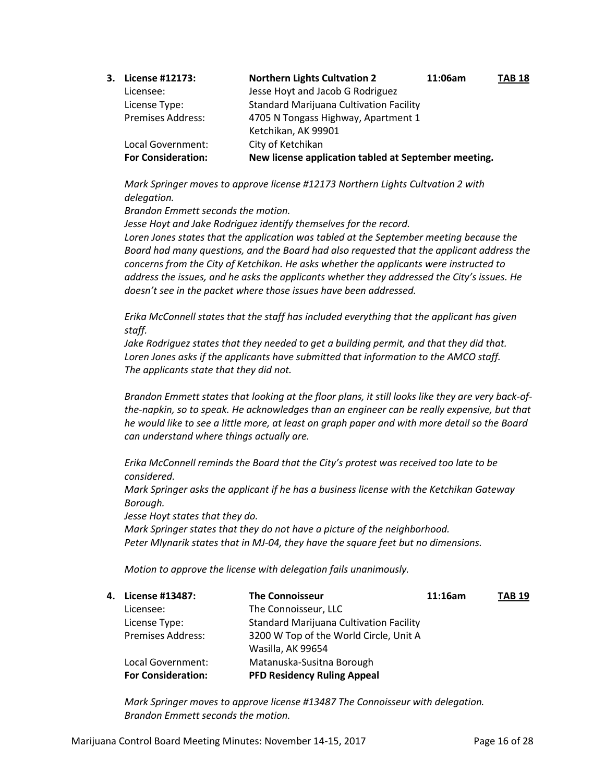| 3. License #12173:        | <b>Northern Lights Cultvation 2</b>                  | 11:06am | <b>TAB 18</b> |
|---------------------------|------------------------------------------------------|---------|---------------|
| Licensee:                 | Jesse Hoyt and Jacob G Rodriguez                     |         |               |
| License Type:             | <b>Standard Marijuana Cultivation Facility</b>       |         |               |
| <b>Premises Address:</b>  | 4705 N Tongass Highway, Apartment 1                  |         |               |
|                           | Ketchikan, AK 99901                                  |         |               |
| Local Government:         | City of Ketchikan                                    |         |               |
| <b>For Consideration:</b> | New license application tabled at September meeting. |         |               |

*Mark Springer moves to approve license #12173 Northern Lights Cultvation 2 with delegation.*

*Brandon Emmett seconds the motion.*

*Jesse Hoyt and Jake Rodriguez identify themselves for the record. Loren Jones states that the application was tabled at the September meeting because the Board had many questions, and the Board had also requested that the applicant address the concerns from the City of Ketchikan. He asks whether the applicants were instructed to address the issues, and he asks the applicants whether they addressed the City's issues. He doesn't see in the packet where those issues have been addressed.*

*Erika McConnell states that the staff has included everything that the applicant has given staff.*

*Jake Rodriguez states that they needed to get a building permit, and that they did that. Loren Jones asks if the applicants have submitted that information to the AMCO staff. The applicants state that they did not.*

*Brandon Emmett states that looking at the floor plans, it still looks like they are very back-ofthe-napkin, so to speak. He acknowledges than an engineer can be really expensive, but that he would like to see a little more, at least on graph paper and with more detail so the Board can understand where things actually are.*

*Erika McConnell reminds the Board that the City's protest was received too late to be considered.*

*Mark Springer asks the applicant if he has a business license with the Ketchikan Gateway Borough.*

*Jesse Hoyt states that they do.*

*Mark Springer states that they do not have a picture of the neighborhood. Peter Mlynarik states that in MJ-04, they have the square feet but no dimensions.*

*Motion to approve the license with delegation fails unanimously.*

| 4. License #13487:        | <b>The Connoisseur</b>                         | 11:16am | <b>TAB 19</b> |
|---------------------------|------------------------------------------------|---------|---------------|
| Licensee:                 | The Connoisseur, LLC                           |         |               |
| License Type:             | <b>Standard Marijuana Cultivation Facility</b> |         |               |
| <b>Premises Address:</b>  | 3200 W Top of the World Circle, Unit A         |         |               |
|                           | Wasilla, AK 99654                              |         |               |
| Local Government:         | Matanuska-Susitna Borough                      |         |               |
| <b>For Consideration:</b> | <b>PFD Residency Ruling Appeal</b>             |         |               |

*Mark Springer moves to approve license #13487 The Connoisseur with delegation. Brandon Emmett seconds the motion.*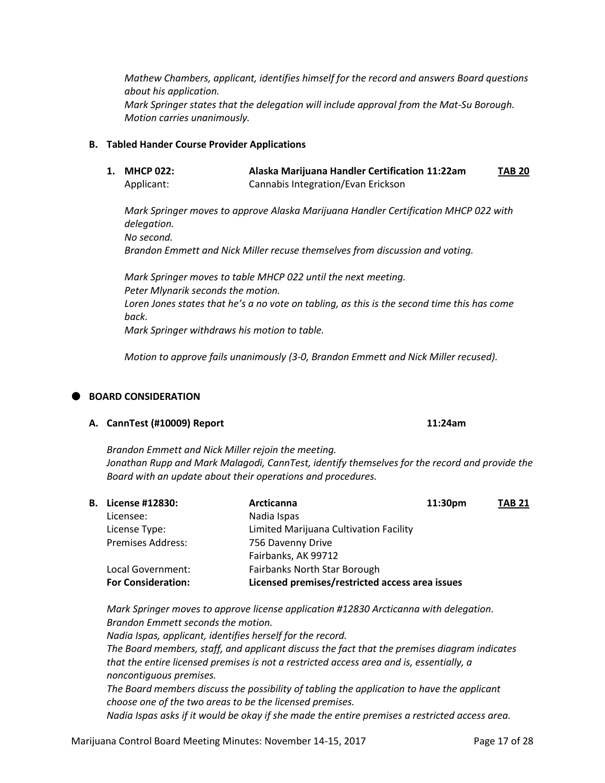*Mathew Chambers, applicant, identifies himself for the record and answers Board questions about his application. Mark Springer states that the delegation will include approval from the Mat-Su Borough. Motion carries unanimously.* 

# **B. Tabled Hander Course Provider Applications**

**1. MHCP 022: Alaska Marijuana Handler Certification 11:22am TAB 20** Applicant: Cannabis Integration/Evan Erickson

*Mark Springer moves to approve Alaska Marijuana Handler Certification MHCP 022 with delegation. No second. Brandon Emmett and Nick Miller recuse themselves from discussion and voting.*

*Mark Springer moves to table MHCP 022 until the next meeting. Peter Mlynarik seconds the motion. Loren Jones states that he's a no vote on tabling, as this is the second time this has come back.*

*Mark Springer withdraws his motion to table.*

*Motion to approve fails unanimously (3-0, Brandon Emmett and Nick Miller recused).* 

# **BOARD CONSIDERATION**

#### **A. CannTest (#10009) Report 11:24am**

*Brandon Emmett and Nick Miller rejoin the meeting. Jonathan Rupp and Mark Malagodi, CannTest, identify themselves for the record and provide the Board with an update about their operations and procedures.*

| <b>B.</b> License #12830: | <b>Arcticanna</b>                               | 11:30pm | <b>TAB 21</b> |
|---------------------------|-------------------------------------------------|---------|---------------|
| Licensee:                 | Nadia Ispas                                     |         |               |
| License Type:             | Limited Marijuana Cultivation Facility          |         |               |
| <b>Premises Address:</b>  | 756 Davenny Drive                               |         |               |
|                           | Fairbanks, AK 99712                             |         |               |
| Local Government:         | <b>Fairbanks North Star Borough</b>             |         |               |
| <b>For Consideration:</b> | Licensed premises/restricted access area issues |         |               |

*Mark Springer moves to approve license application #12830 Arcticanna with delegation. Brandon Emmett seconds the motion.*

*Nadia Ispas, applicant, identifies herself for the record. The Board members, staff, and applicant discuss the fact that the premises diagram indicates that the entire licensed premises is not a restricted access area and is, essentially, a noncontiguous premises. The Board members discuss the possibility of tabling the application to have the applicant choose one of the two areas to be the licensed premises.*

*Nadia Ispas asks if it would be okay if she made the entire premises a restricted access area.*

Marijuana Control Board Meeting Minutes: November 14-15, 2017 Page 17 of 28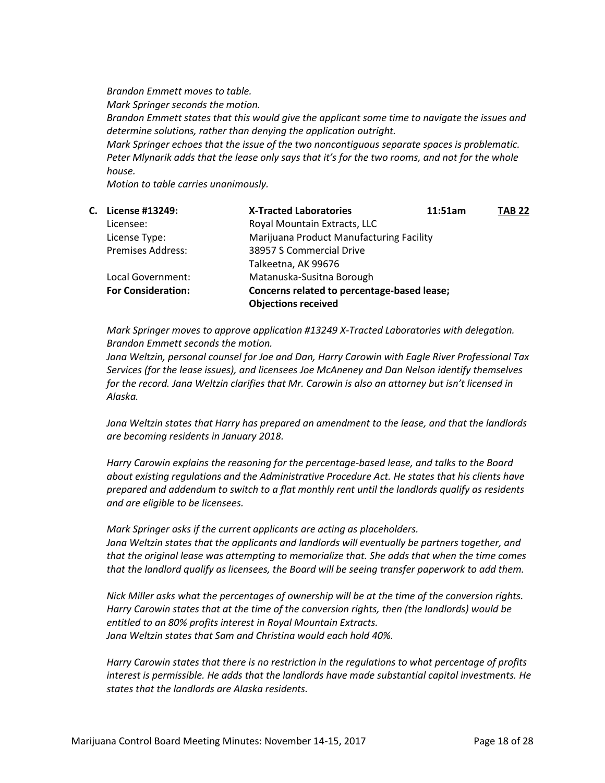*Brandon Emmett moves to table. Mark Springer seconds the motion. Brandon Emmett states that this would give the applicant some time to navigate the issues and determine solutions, rather than denying the application outright. Mark Springer echoes that the issue of the two noncontiguous separate spaces is problematic. Peter Mlynarik adds that the lease only says that it's for the two rooms, and not for the whole house.*

*Motion to table carries unanimously.*

| C. | License #13249:           | <b>X-Tracted Laboratories</b>               | 11:51am | <b>TAB 22</b> |
|----|---------------------------|---------------------------------------------|---------|---------------|
|    | Licensee:                 | Royal Mountain Extracts, LLC                |         |               |
|    | License Type:             | Marijuana Product Manufacturing Facility    |         |               |
|    | <b>Premises Address:</b>  | 38957 S Commercial Drive                    |         |               |
|    |                           | Talkeetna, AK 99676                         |         |               |
|    | Local Government:         | Matanuska-Susitna Borough                   |         |               |
|    | <b>For Consideration:</b> | Concerns related to percentage-based lease; |         |               |
|    |                           | <b>Objections received</b>                  |         |               |

*Mark Springer moves to approve application #13249 X-Tracted Laboratories with delegation. Brandon Emmett seconds the motion.*

*Jana Weltzin, personal counsel for Joe and Dan, Harry Carowin with Eagle River Professional Tax Services (for the lease issues), and licensees Joe McAneney and Dan Nelson identify themselves for the record. Jana Weltzin clarifies that Mr. Carowin is also an attorney but isn't licensed in Alaska.*

*Jana Weltzin states that Harry has prepared an amendment to the lease, and that the landlords are becoming residents in January 2018.*

*Harry Carowin explains the reasoning for the percentage-based lease, and talks to the Board about existing regulations and the Administrative Procedure Act. He states that his clients have prepared and addendum to switch to a flat monthly rent until the landlords qualify as residents and are eligible to be licensees.*

*Mark Springer asks if the current applicants are acting as placeholders. Jana Weltzin states that the applicants and landlords will eventually be partners together, and that the original lease was attempting to memorialize that. She adds that when the time comes that the landlord qualify as licensees, the Board will be seeing transfer paperwork to add them.*

*Nick Miller asks what the percentages of ownership will be at the time of the conversion rights. Harry Carowin states that at the time of the conversion rights, then (the landlords) would be entitled to an 80% profits interest in Royal Mountain Extracts. Jana Weltzin states that Sam and Christina would each hold 40%.*

*Harry Carowin states that there is no restriction in the regulations to what percentage of profits interest is permissible. He adds that the landlords have made substantial capital investments. He states that the landlords are Alaska residents.*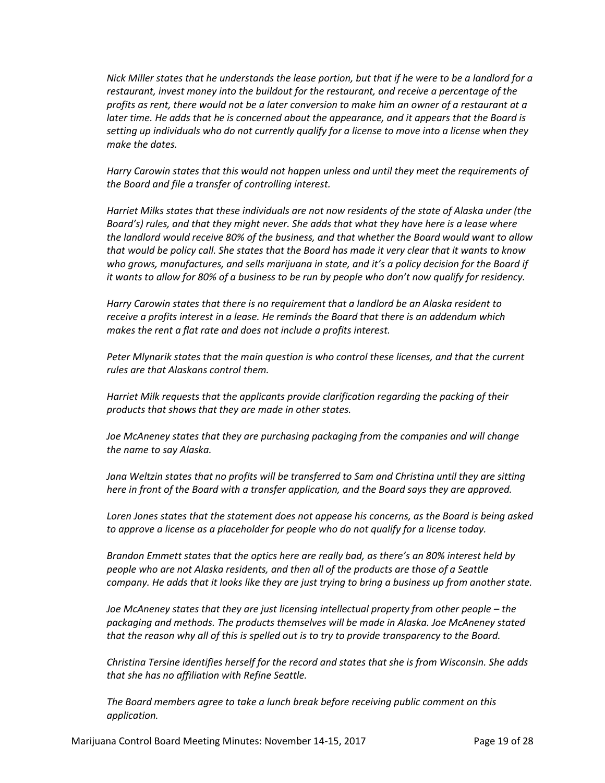*Nick Miller states that he understands the lease portion, but that if he were to be a landlord for a restaurant, invest money into the buildout for the restaurant, and receive a percentage of the profits as rent, there would not be a later conversion to make him an owner of a restaurant at a later time. He adds that he is concerned about the appearance, and it appears that the Board is setting up individuals who do not currently qualify for a license to move into a license when they make the dates.*

*Harry Carowin states that this would not happen unless and until they meet the requirements of the Board and file a transfer of controlling interest.*

*Harriet Milks states that these individuals are not now residents of the state of Alaska under (the Board's) rules, and that they might never. She adds that what they have here is a lease where the landlord would receive 80% of the business, and that whether the Board would want to allow that would be policy call. She states that the Board has made it very clear that it wants to know who grows, manufactures, and sells marijuana in state, and it's a policy decision for the Board if it wants to allow for 80% of a business to be run by people who don't now qualify for residency.*

*Harry Carowin states that there is no requirement that a landlord be an Alaska resident to receive a profits interest in a lease. He reminds the Board that there is an addendum which makes the rent a flat rate and does not include a profits interest.*

*Peter Mlynarik states that the main question is who control these licenses, and that the current rules are that Alaskans control them.*

*Harriet Milk requests that the applicants provide clarification regarding the packing of their products that shows that they are made in other states.*

*Joe McAneney states that they are purchasing packaging from the companies and will change the name to say Alaska.*

*Jana Weltzin states that no profits will be transferred to Sam and Christina until they are sitting here in front of the Board with a transfer application, and the Board says they are approved.*

*Loren Jones states that the statement does not appease his concerns, as the Board is being asked to approve a license as a placeholder for people who do not qualify for a license today.*

*Brandon Emmett states that the optics here are really bad, as there's an 80% interest held by people who are not Alaska residents, and then all of the products are those of a Seattle company. He adds that it looks like they are just trying to bring a business up from another state.*

*Joe McAneney states that they are just licensing intellectual property from other people – the packaging and methods. The products themselves will be made in Alaska. Joe McAneney stated that the reason why all of this is spelled out is to try to provide transparency to the Board.*

*Christina Tersine identifies herself for the record and states that she is from Wisconsin. She adds that she has no affiliation with Refine Seattle.*

*The Board members agree to take a lunch break before receiving public comment on this application.*

Marijuana Control Board Meeting Minutes: November 14-15, 2017 Page 19 of 28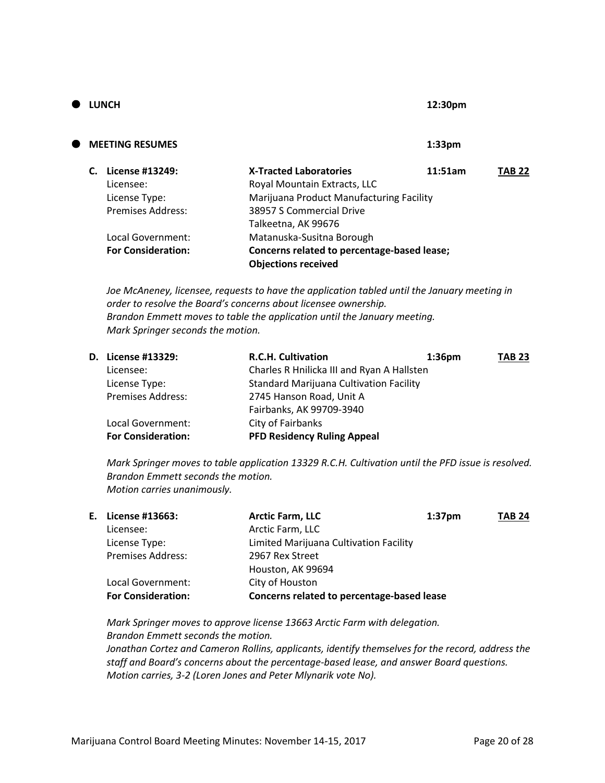| $\bullet$ | <b>LUNCH</b>              |                                             | 12:30pm            |               |
|-----------|---------------------------|---------------------------------------------|--------------------|---------------|
| Œ         | <b>MEETING RESUMES</b>    |                                             | 1:33 <sub>pm</sub> |               |
|           | License #13249:           | <b>X-Tracted Laboratories</b>               | 11:51am            | <b>TAB 22</b> |
|           | Licensee:                 | Royal Mountain Extracts, LLC                |                    |               |
|           | License Type:             | Marijuana Product Manufacturing Facility    |                    |               |
|           | Premises Address:         | 38957 S Commercial Drive                    |                    |               |
|           |                           | Talkeetna, AK 99676                         |                    |               |
|           | Local Government:         | Matanuska-Susitna Borough                   |                    |               |
|           | <b>For Consideration:</b> | Concerns related to percentage-based lease; |                    |               |
|           |                           | <b>Objections received</b>                  |                    |               |

*Joe McAneney, licensee, requests to have the application tabled until the January meeting in order to resolve the Board's concerns about licensee ownership. Brandon Emmett moves to table the application until the January meeting. Mark Springer seconds the motion.*

| D. License #13329:        | <b>R.C.H. Cultivation</b>                      | 1:36 <sub>pm</sub> | <b>TAB 23</b> |
|---------------------------|------------------------------------------------|--------------------|---------------|
| Licensee:                 | Charles R Hnilicka III and Ryan A Hallsten     |                    |               |
| License Type:             | <b>Standard Marijuana Cultivation Facility</b> |                    |               |
| <b>Premises Address:</b>  | 2745 Hanson Road, Unit A                       |                    |               |
|                           | Fairbanks, AK 99709-3940                       |                    |               |
| Local Government:         | City of Fairbanks                              |                    |               |
| <b>For Consideration:</b> | <b>PFD Residency Ruling Appeal</b>             |                    |               |

*Mark Springer moves to table application 13329 R.C.H. Cultivation until the PFD issue is resolved. Brandon Emmett seconds the motion. Motion carries unanimously.*

| E., | License #13663:           | <b>Arctic Farm, LLC</b>                    | 1:37 <sub>pm</sub> | <b>TAB 24</b> |
|-----|---------------------------|--------------------------------------------|--------------------|---------------|
|     | Licensee:                 | Arctic Farm, LLC                           |                    |               |
|     | License Type:             | Limited Marijuana Cultivation Facility     |                    |               |
|     | <b>Premises Address:</b>  | 2967 Rex Street                            |                    |               |
|     |                           | Houston, AK 99694                          |                    |               |
|     | Local Government:         | City of Houston                            |                    |               |
|     | <b>For Consideration:</b> | Concerns related to percentage-based lease |                    |               |

*Mark Springer moves to approve license 13663 Arctic Farm with delegation. Brandon Emmett seconds the motion. Jonathan Cortez and Cameron Rollins, applicants, identify themselves for the record, address the staff and Board's concerns about the percentage-based lease, and answer Board questions. Motion carries, 3-2 (Loren Jones and Peter Mlynarik vote No).*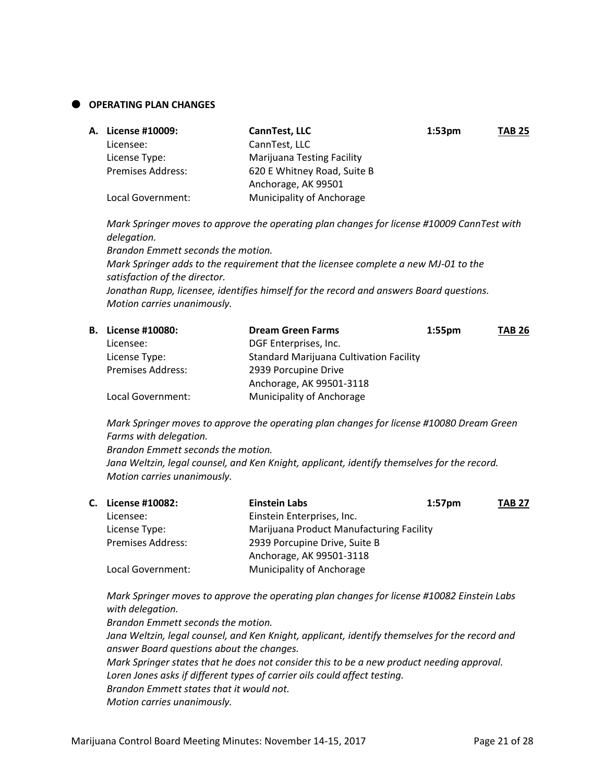#### **OPERATING PLAN CHANGES**

| <b>A. License #10009:</b> | CannTest, LLC                     | 1:53 <sub>pm</sub> | <b>TAB 25</b> |
|---------------------------|-----------------------------------|--------------------|---------------|
| Licensee:                 | CannTest, LLC                     |                    |               |
| License Type:             | <b>Marijuana Testing Facility</b> |                    |               |
| <b>Premises Address:</b>  | 620 E Whitney Road, Suite B       |                    |               |
|                           | Anchorage, AK 99501               |                    |               |
| Local Government:         | Municipality of Anchorage         |                    |               |

*Mark Springer moves to approve the operating plan changes for license #10009 CannTest with delegation.*

*Brandon Emmett seconds the motion.*

*Mark Springer adds to the requirement that the licensee complete a new MJ-01 to the satisfaction of the director.*

*Jonathan Rupp, licensee, identifies himself for the record and answers Board questions. Motion carries unanimously.*

| <b>B.</b> License #10080: | <b>Dream Green Farms</b>                       | $1:55$ pm | <b>TAB 26</b> |
|---------------------------|------------------------------------------------|-----------|---------------|
| Licensee:                 | DGF Enterprises, Inc.                          |           |               |
| License Type:             | <b>Standard Marijuana Cultivation Facility</b> |           |               |
| <b>Premises Address:</b>  | 2939 Porcupine Drive                           |           |               |
|                           | Anchorage, AK 99501-3118                       |           |               |
| Local Government:         | <b>Municipality of Anchorage</b>               |           |               |
|                           |                                                |           |               |

*Mark Springer moves to approve the operating plan changes for license #10080 Dream Green Farms with delegation.*

*Brandon Emmett seconds the motion.*

*Jana Weltzin, legal counsel, and Ken Knight, applicant, identify themselves for the record. Motion carries unanimously.*

| C. License #10082:       | <b>Einstein Labs</b>                     | $1:57$ pm | <b>TAB 27</b> |
|--------------------------|------------------------------------------|-----------|---------------|
| Licensee:                | Einstein Enterprises, Inc.               |           |               |
| License Type:            | Marijuana Product Manufacturing Facility |           |               |
| <b>Premises Address:</b> | 2939 Porcupine Drive, Suite B            |           |               |
|                          | Anchorage, AK 99501-3118                 |           |               |
| Local Government:        | Municipality of Anchorage                |           |               |

*Mark Springer moves to approve the operating plan changes for license #10082 Einstein Labs with delegation.*

*Brandon Emmett seconds the motion. Jana Weltzin, legal counsel, and Ken Knight, applicant, identify themselves for the record and answer Board questions about the changes. Mark Springer states that he does not consider this to be a new product needing approval. Loren Jones asks if different types of carrier oils could affect testing. Brandon Emmett states that it would not. Motion carries unanimously.*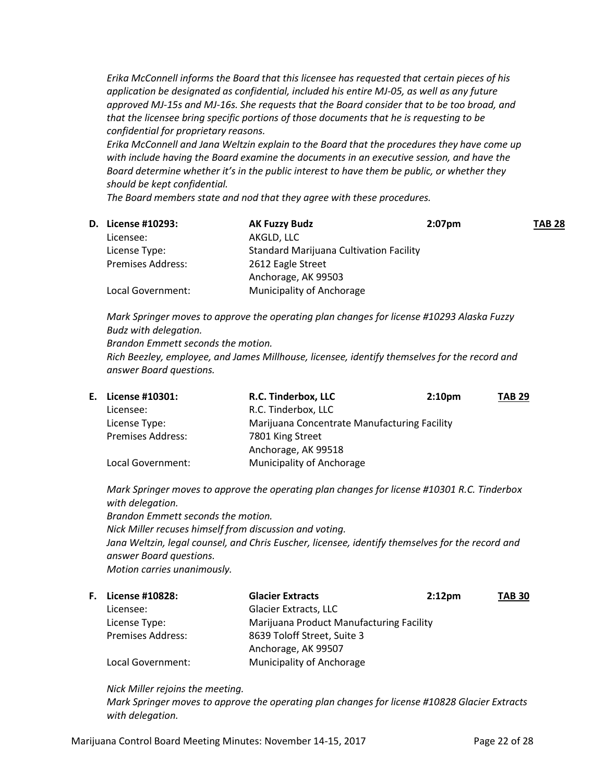*Erika McConnell informs the Board that this licensee has requested that certain pieces of his application be designated as confidential, included his entire MJ-05, as well as any future approved MJ-15s and MJ-16s. She requests that the Board consider that to be too broad, and that the licensee bring specific portions of those documents that he is requesting to be confidential for proprietary reasons.*

*Erika McConnell and Jana Weltzin explain to the Board that the procedures they have come up with include having the Board examine the documents in an executive session, and have the Board determine whether it's in the public interest to have them be public, or whether they should be kept confidential.*

*The Board members state and nod that they agree with these procedures.*

| <b>D.</b> License #10293: | <b>AK Fuzzy Budz</b>                           | $2:07$ pm | <b>TAB 28</b> |
|---------------------------|------------------------------------------------|-----------|---------------|
| Licensee:                 | AKGLD, LLC                                     |           |               |
| License Type:             | <b>Standard Marijuana Cultivation Facility</b> |           |               |
| <b>Premises Address:</b>  | 2612 Eagle Street                              |           |               |
|                           | Anchorage, AK 99503                            |           |               |
| Local Government:         | Municipality of Anchorage                      |           |               |

*Mark Springer moves to approve the operating plan changes for license #10293 Alaska Fuzzy Budz with delegation. Brandon Emmett seconds the motion. Rich Beezley, employee, and James Millhouse, licensee, identify themselves for the record and answer Board questions.*

|                          | R.C. Tinderbox, LLC       | 2:10 <sub>pm</sub> | <b>TAB 29</b>                                |
|--------------------------|---------------------------|--------------------|----------------------------------------------|
| Licensee:                | R.C. Tinderbox, LLC       |                    |                                              |
| License Type:            |                           |                    |                                              |
| <b>Premises Address:</b> | 7801 King Street          |                    |                                              |
|                          | Anchorage, AK 99518       |                    |                                              |
| Local Government:        | Municipality of Anchorage |                    |                                              |
|                          | E. License #10301:        |                    | Marijuana Concentrate Manufacturing Facility |

*Mark Springer moves to approve the operating plan changes for license #10301 R.C. Tinderbox with delegation.*

*Brandon Emmett seconds the motion. Nick Miller recuses himself from discussion and voting. Jana Weltzin, legal counsel, and Chris Euscher, licensee, identify themselves for the record and answer Board questions. Motion carries unanimously.*

| <b>F.</b> License #10828: | <b>Glacier Extracts</b>                  | 2:12 <sub>pm</sub> | <b>TAB 30</b> |
|---------------------------|------------------------------------------|--------------------|---------------|
| Licensee:                 | <b>Glacier Extracts, LLC</b>             |                    |               |
| License Type:             | Marijuana Product Manufacturing Facility |                    |               |
| <b>Premises Address:</b>  | 8639 Toloff Street, Suite 3              |                    |               |
|                           | Anchorage, AK 99507                      |                    |               |
| Local Government:         | Municipality of Anchorage                |                    |               |

*Nick Miller rejoins the meeting.*

*Mark Springer moves to approve the operating plan changes for license #10828 Glacier Extracts with delegation.*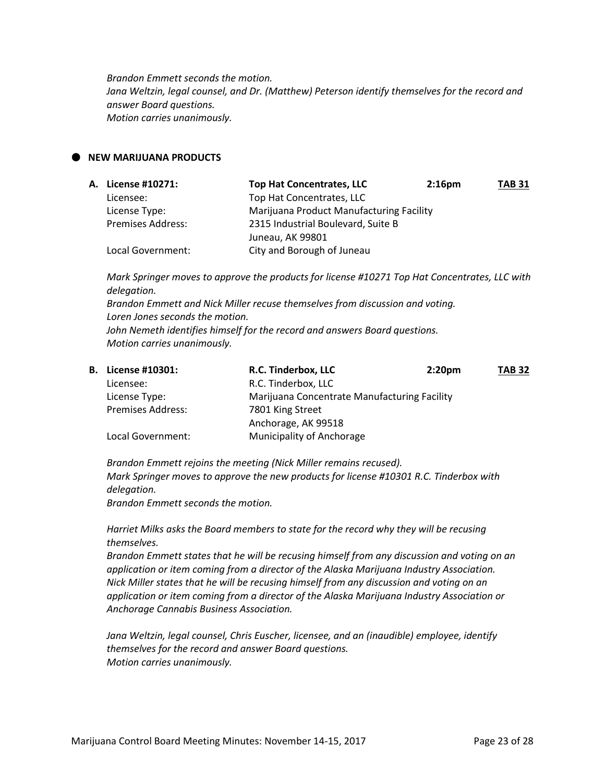*Brandon Emmett seconds the motion. Jana Weltzin, legal counsel, and Dr. (Matthew) Peterson identify themselves for the record and answer Board questions. Motion carries unanimously.*

## **NEW MARIJUANA PRODUCTS**

| A. License #10271:       | <b>Top Hat Concentrates, LLC</b>         | 2:16 <sub>pm</sub> | <b>TAB 31</b> |
|--------------------------|------------------------------------------|--------------------|---------------|
| Licensee:                | Top Hat Concentrates, LLC                |                    |               |
| License Type:            | Marijuana Product Manufacturing Facility |                    |               |
| <b>Premises Address:</b> | 2315 Industrial Boulevard, Suite B       |                    |               |
|                          | Juneau, AK 99801                         |                    |               |
| Local Government:        | City and Borough of Juneau               |                    |               |

*Mark Springer moves to approve the products for license #10271 Top Hat Concentrates, LLC with delegation. Brandon Emmett and Nick Miller recuse themselves from discussion and voting. Loren Jones seconds the motion. John Nemeth identifies himself for the record and answers Board questions. Motion carries unanimously.*

| <b>B.</b> License #10301: | R.C. Tinderbox, LLC                          | 2:20 <sub>pm</sub> | <b>TAB 32</b> |
|---------------------------|----------------------------------------------|--------------------|---------------|
| Licensee:                 | R.C. Tinderbox, LLC                          |                    |               |
| License Type:             | Marijuana Concentrate Manufacturing Facility |                    |               |
| <b>Premises Address:</b>  | 7801 King Street                             |                    |               |
|                           | Anchorage, AK 99518                          |                    |               |
| Local Government:         | <b>Municipality of Anchorage</b>             |                    |               |

*Brandon Emmett rejoins the meeting (Nick Miller remains recused). Mark Springer moves to approve the new products for license #10301 R.C. Tinderbox with delegation.*

*Brandon Emmett seconds the motion.*

*Harriet Milks asks the Board members to state for the record why they will be recusing themselves.*

*Brandon Emmett states that he will be recusing himself from any discussion and voting on an application or item coming from a director of the Alaska Marijuana Industry Association. Nick Miller states that he will be recusing himself from any discussion and voting on an application or item coming from a director of the Alaska Marijuana Industry Association or Anchorage Cannabis Business Association.*

*Jana Weltzin, legal counsel, Chris Euscher, licensee, and an (inaudible) employee, identify themselves for the record and answer Board questions. Motion carries unanimously.*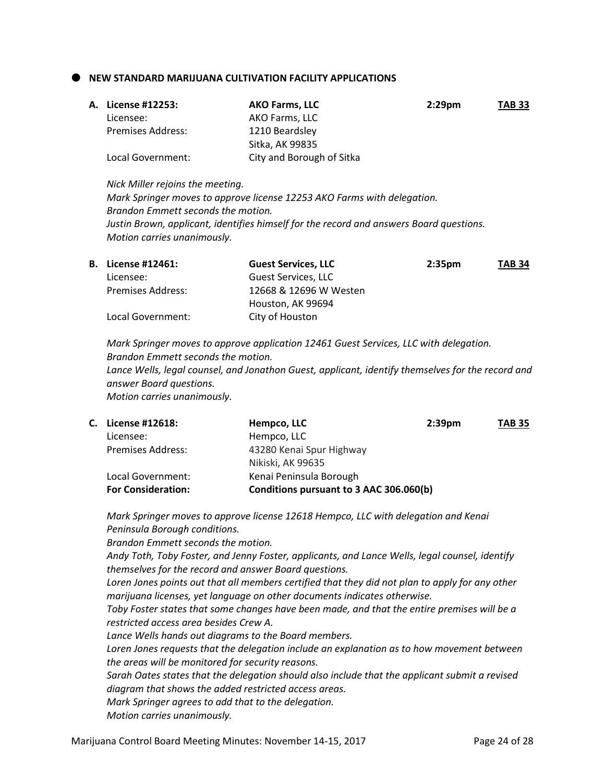**NEW STANDARD MARIJUANA CULTIVATION FACILITY APPLICATIONS**

|                          | <b>AKO Farms, LLC</b>     | $2:29$ pm | <b>TAB 33</b> |
|--------------------------|---------------------------|-----------|---------------|
| Licensee:                | AKO Farms, LLC            |           |               |
| <b>Premises Address:</b> | 1210 Beardsley            |           |               |
|                          | Sitka. AK 99835           |           |               |
| Local Government:        | City and Borough of Sitka |           |               |
|                          | A. License #12253:        |           |               |

*Nick Miller rejoins the meeting. Mark Springer moves to approve license 12253 AKO Farms with delegation. Brandon Emmett seconds the motion. Justin Brown, applicant, identifies himself for the record and answers Board questions. Motion carries unanimously.*

| <b>B.</b> License #12461: | <b>Guest Services, LLC</b> | 2:35 <sub>pm</sub> | <b>TAB 34</b> |
|---------------------------|----------------------------|--------------------|---------------|
| Licensee:                 | Guest Services, LLC        |                    |               |
| <b>Premises Address:</b>  | 12668 & 12696 W Westen     |                    |               |
|                           | Houston, AK 99694          |                    |               |
| Local Government:         | City of Houston            |                    |               |

*Mark Springer moves to approve application 12461 Guest Services, LLC with delegation. Brandon Emmett seconds the motion. Lance Wells, legal counsel, and Jonathon Guest, applicant, identify themselves for the record and answer Board questions. Motion carries unanimously.*

| C. License #12618:        | Hempco, LLC<br>2:39 <sub>pm</sub>       | <b>TAB 35</b> |
|---------------------------|-----------------------------------------|---------------|
| Licensee:                 | Hempco, LLC                             |               |
| <b>Premises Address:</b>  | 43280 Kenai Spur Highway                |               |
|                           | Nikiski, AK 99635                       |               |
| Local Government:         | Kenai Peninsula Borough                 |               |
| <b>For Consideration:</b> | Conditions pursuant to 3 AAC 306.060(b) |               |

*Mark Springer moves to approve license 12618 Hempco, LLC with delegation and Kenai Peninsula Borough conditions.*

*Brandon Emmett seconds the motion.*

*Andy Toth, Toby Foster, and Jenny Foster, applicants, and Lance Wells, legal counsel, identify themselves for the record and answer Board questions.*

*Loren Jones points out that all members certified that they did not plan to apply for any other marijuana licenses, yet language on other documents indicates otherwise.*

*Toby Foster states that some changes have been made, and that the entire premises will be a restricted access area besides Crew A.*

*Lance Wells hands out diagrams to the Board members.*

*Loren Jones requests that the delegation include an explanation as to how movement between the areas will be monitored for security reasons.* 

*Sarah Oates states that the delegation should also include that the applicant submit a revised diagram that shows the added restricted access areas.*

*Mark Springer agrees to add that to the delegation.*

*Motion carries unanimously.*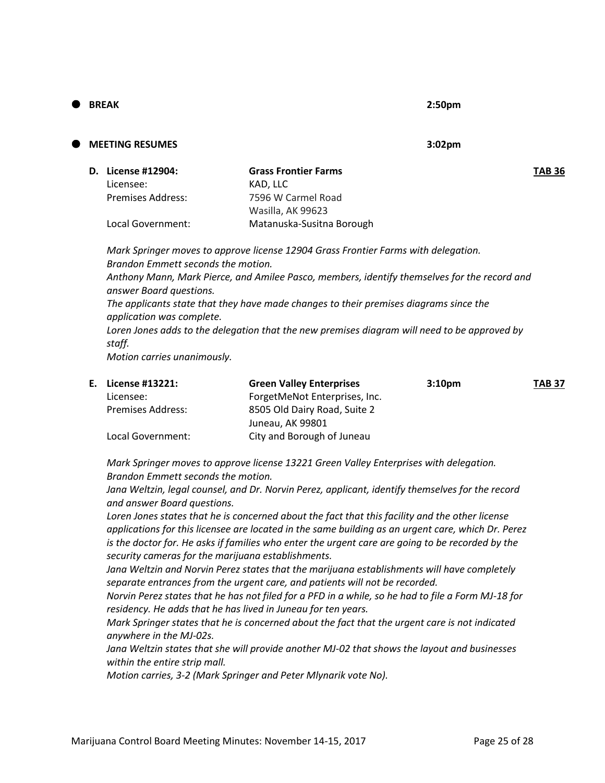### **BREAK 2:50pm**

# **MEETING RESUMES 3:02pm**

| <b>D.</b> License #12904: | <b>Grass Frontier Farms</b> | <b>TAB 36</b> |
|---------------------------|-----------------------------|---------------|
| Licensee:                 | KAD. LLC                    |               |
| Premises Address:         | 7596 W Carmel Road          |               |
|                           | Wasilla, AK 99623           |               |
| Local Government:         | Matanuska-Susitna Borough   |               |

*Mark Springer moves to approve license 12904 Grass Frontier Farms with delegation. Brandon Emmett seconds the motion. Anthony Mann, Mark Pierce, and Amilee Pasco, members, identify themselves for the record and answer Board questions. The applicants state that they have made changes to their premises diagrams since the application was complete. Loren Jones adds to the delegation that the new premises diagram will need to be approved by staff. Motion carries unanimously.*

| E. License #13221:       | <b>Green Valley Enterprises</b> | 3:10 <sub>pm</sub> | <b>TAB 37</b> |
|--------------------------|---------------------------------|--------------------|---------------|
| Licensee:                | ForgetMeNot Enterprises, Inc.   |                    |               |
| <b>Premises Address:</b> | 8505 Old Dairy Road, Suite 2    |                    |               |
|                          | Juneau, AK 99801                |                    |               |
| Local Government:        | City and Borough of Juneau      |                    |               |

*Mark Springer moves to approve license 13221 Green Valley Enterprises with delegation. Brandon Emmett seconds the motion.*

*Jana Weltzin, legal counsel, and Dr. Norvin Perez, applicant, identify themselves for the record and answer Board questions.*

Loren Jones states that he is concerned about the fact that this facility and the other license *applications for this licensee are located in the same building as an urgent care, which Dr. Perez is the doctor for. He asks if families who enter the urgent care are going to be recorded by the security cameras for the marijuana establishments.*

Jana Weltzin and Norvin Perez states that the marijuana establishments will have completely *separate entrances from the urgent care, and patients will not be recorded.*

*Norvin Perez states that he has not filed for a PFD in a while, so he had to file a Form MJ-18 for residency. He adds that he has lived in Juneau for ten years.*

*Mark Springer states that he is concerned about the fact that the urgent care is not indicated anywhere in the MJ-02s.*

*Jana Weltzin states that she will provide another MJ-02 that shows the layout and businesses within the entire strip mall.*

*Motion carries, 3-2 (Mark Springer and Peter Mlynarik vote No).*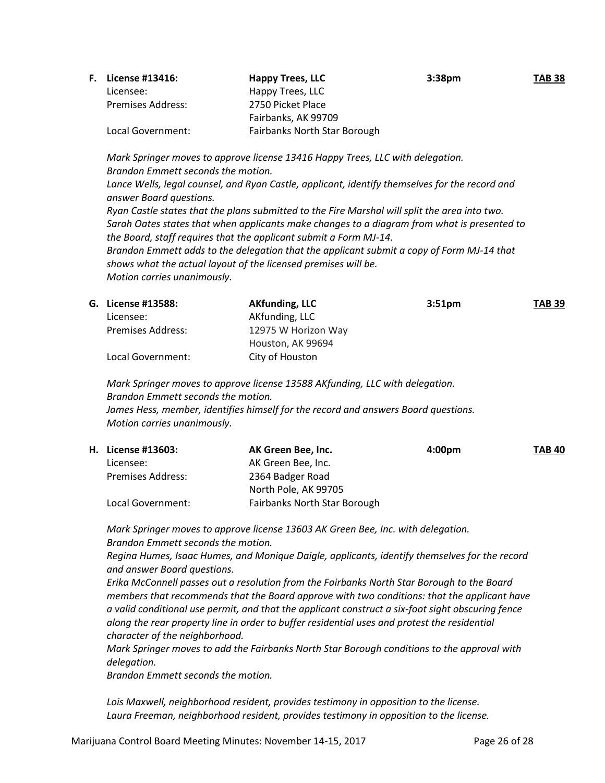| <b>F.</b> License #13416: | <b>Happy Trees, LLC</b>      | 3:38 <sub>pm</sub> | <b>TAB 38</b> |
|---------------------------|------------------------------|--------------------|---------------|
| Licensee:                 | Happy Trees, LLC             |                    |               |
| <b>Premises Address:</b>  | 2750 Picket Place            |                    |               |
|                           | Fairbanks, AK 99709          |                    |               |
| Local Government:         | Fairbanks North Star Borough |                    |               |
|                           |                              |                    |               |

*Mark Springer moves to approve license 13416 Happy Trees, LLC with delegation. Brandon Emmett seconds the motion. Lance Wells, legal counsel, and Ryan Castle, applicant, identify themselves for the record and answer Board questions. Ryan Castle states that the plans submitted to the Fire Marshal will split the area into two. Sarah Oates states that when applicants make changes to a diagram from what is presented to the Board, staff requires that the applicant submit a Form MJ-14. Brandon Emmett adds to the delegation that the applicant submit a copy of Form MJ-14 that shows what the actual layout of the licensed premises will be. Motion carries unanimously.*

|                          | <b>AKfunding, LLC</b> | 3:51 <sub>pm</sub> | <b>TAB 39</b> |
|--------------------------|-----------------------|--------------------|---------------|
| Licensee:                | AKfunding, LLC        |                    |               |
| <b>Premises Address:</b> | 12975 W Horizon Way   |                    |               |
|                          | Houston, AK 99694     |                    |               |
| Local Government:        | City of Houston       |                    |               |
|                          | G. License #13588:    |                    |               |

*Mark Springer moves to approve license 13588 AKfunding, LLC with delegation. Brandon Emmett seconds the motion. James Hess, member, identifies himself for the record and answers Board questions. Motion carries unanimously.*

| H. License #13603:       | AK Green Bee, Inc.                  | 4:00pm | <b>TAB 40</b> |
|--------------------------|-------------------------------------|--------|---------------|
| Licensee:                | AK Green Bee, Inc.                  |        |               |
| <b>Premises Address:</b> | 2364 Badger Road                    |        |               |
|                          | North Pole, AK 99705                |        |               |
| Local Government:        | <b>Fairbanks North Star Borough</b> |        |               |

*Mark Springer moves to approve license 13603 AK Green Bee, Inc. with delegation. Brandon Emmett seconds the motion.*

*Regina Humes, Isaac Humes, and Monique Daigle, applicants, identify themselves for the record and answer Board questions.*

*Erika McConnell passes out a resolution from the Fairbanks North Star Borough to the Board members that recommends that the Board approve with two conditions: that the applicant have a valid conditional use permit, and that the applicant construct a six-foot sight obscuring fence along the rear property line in order to buffer residential uses and protest the residential character of the neighborhood.*

*Mark Springer moves to add the Fairbanks North Star Borough conditions to the approval with delegation.*

*Brandon Emmett seconds the motion.*

*Lois Maxwell, neighborhood resident, provides testimony in opposition to the license. Laura Freeman, neighborhood resident, provides testimony in opposition to the license.*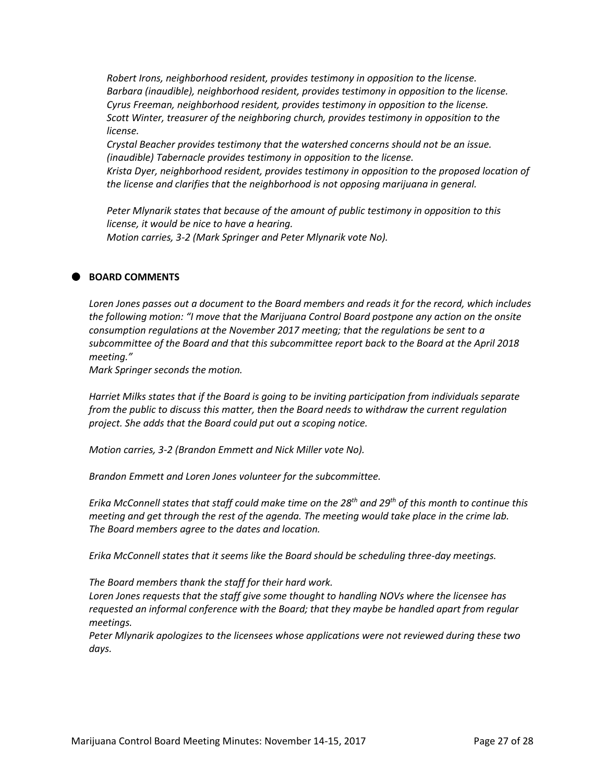*Robert Irons, neighborhood resident, provides testimony in opposition to the license. Barbara (inaudible), neighborhood resident, provides testimony in opposition to the license. Cyrus Freeman, neighborhood resident, provides testimony in opposition to the license. Scott Winter, treasurer of the neighboring church, provides testimony in opposition to the license.*

*Crystal Beacher provides testimony that the watershed concerns should not be an issue. (inaudible) Tabernacle provides testimony in opposition to the license.*

*Krista Dyer, neighborhood resident, provides testimony in opposition to the proposed location of the license and clarifies that the neighborhood is not opposing marijuana in general.*

*Peter Mlynarik states that because of the amount of public testimony in opposition to this license, it would be nice to have a hearing. Motion carries, 3-2 (Mark Springer and Peter Mlynarik vote No).*

# **BOARD COMMENTS**

*Loren Jones passes out a document to the Board members and reads it for the record, which includes the following motion: "I move that the Marijuana Control Board postpone any action on the onsite consumption regulations at the November 2017 meeting; that the regulations be sent to a subcommittee of the Board and that this subcommittee report back to the Board at the April 2018 meeting."*

*Mark Springer seconds the motion.*

*Harriet Milks states that if the Board is going to be inviting participation from individuals separate from the public to discuss this matter, then the Board needs to withdraw the current regulation project. She adds that the Board could put out a scoping notice.*

*Motion carries, 3-2 (Brandon Emmett and Nick Miller vote No).*

*Brandon Emmett and Loren Jones volunteer for the subcommittee.*

*Erika McConnell states that staff could make time on the 28th and 29th of this month to continue this meeting and get through the rest of the agenda. The meeting would take place in the crime lab. The Board members agree to the dates and location.*

*Erika McConnell states that it seems like the Board should be scheduling three-day meetings.*

*The Board members thank the staff for their hard work.*

*Loren Jones requests that the staff give some thought to handling NOVs where the licensee has requested an informal conference with the Board; that they maybe be handled apart from regular meetings.*

*Peter Mlynarik apologizes to the licensees whose applications were not reviewed during these two days.*